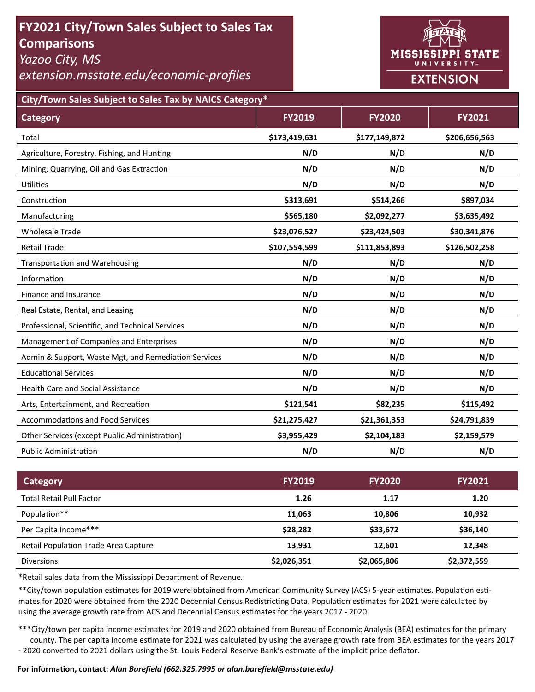# **FY2021 City/Town Sales Subject to Sales Tax Comparisons**

*Yazoo City, MS* 

*extension.msstate.edu/economic‐profiles* 



**City/Town Sales Subject to Sales Tax by NAICS Category\***

| <b>Category</b>                                      | <b>FY2019</b> | <b>FY2020</b> | <b>FY2021</b> |
|------------------------------------------------------|---------------|---------------|---------------|
| Total                                                | \$173,419,631 | \$177,149,872 | \$206,656,563 |
| Agriculture, Forestry, Fishing, and Hunting          | N/D           | N/D           | N/D           |
| Mining, Quarrying, Oil and Gas Extraction            | N/D           | N/D           | N/D           |
| <b>Utilities</b>                                     | N/D           | N/D           | N/D           |
| Construction                                         | \$313,691     | \$514,266     | \$897,034     |
| Manufacturing                                        | \$565,180     | \$2,092,277   | \$3,635,492   |
| <b>Wholesale Trade</b>                               | \$23,076,527  | \$23,424,503  | \$30,341,876  |
| <b>Retail Trade</b>                                  | \$107,554,599 | \$111,853,893 | \$126,502,258 |
| <b>Transportation and Warehousing</b>                | N/D           | N/D           | N/D           |
| Information                                          | N/D           | N/D           | N/D           |
| Finance and Insurance                                | N/D           | N/D           | N/D           |
| Real Estate, Rental, and Leasing                     | N/D           | N/D           | N/D           |
| Professional, Scientific, and Technical Services     | N/D           | N/D           | N/D           |
| Management of Companies and Enterprises              | N/D           | N/D           | N/D           |
| Admin & Support, Waste Mgt, and Remediation Services | N/D           | N/D           | N/D           |
| <b>Educational Services</b>                          | N/D           | N/D           | N/D           |
| <b>Health Care and Social Assistance</b>             | N/D           | N/D           | N/D           |
| Arts, Entertainment, and Recreation                  | \$121,541     | \$82,235      | \$115,492     |
| <b>Accommodations and Food Services</b>              | \$21,275,427  | \$21,361,353  | \$24,791,839  |
| Other Services (except Public Administration)        | \$3,955,429   | \$2,104,183   | \$2,159,579   |
| <b>Public Administration</b>                         | N/D           | N/D           | N/D           |

| Category                                    | <b>FY2019</b> | <b>FY2020</b> | <b>FY2021</b> |
|---------------------------------------------|---------------|---------------|---------------|
| <b>Total Retail Pull Factor</b>             | 1.26          | 1.17          | 1.20          |
| Population**                                | 11,063        | 10.806        | 10,932        |
| Per Capita Income***                        | \$28,282      | \$33,672      | \$36,140      |
| <b>Retail Population Trade Area Capture</b> | 13,931        | 12,601        | 12,348        |
| <b>Diversions</b>                           | \$2,026,351   | \$2,065,806   | \$2,372,559   |

\*Retail sales data from the Mississippi Department of Revenue*.* 

\*\*City/town population estimates for 2019 were obtained from American Community Survey (ACS) 5-year estimates. Population estimates for 2020 were obtained from the 2020 Decennial Census Redistricting Data. Population estimates for 2021 were calculated by using the average growth rate from ACS and Decennial Census estimates for the years 2017 - 2020.

\*\*\*City/town per capita income estimates for 2019 and 2020 obtained from Bureau of Economic Analysis (BEA) estimates for the primary county. The per capita income estimate for 2021 was calculated by using the average growth rate from BEA estimates for the years 2017 - 2020 converted to 2021 dollars using the St. Louis Federal Reserve Bank's estimate of the implicit price deflator.

### **For informaƟon, contact:** *Alan Barefield (662.325.7995 or alan.barefield@msstate.edu)*